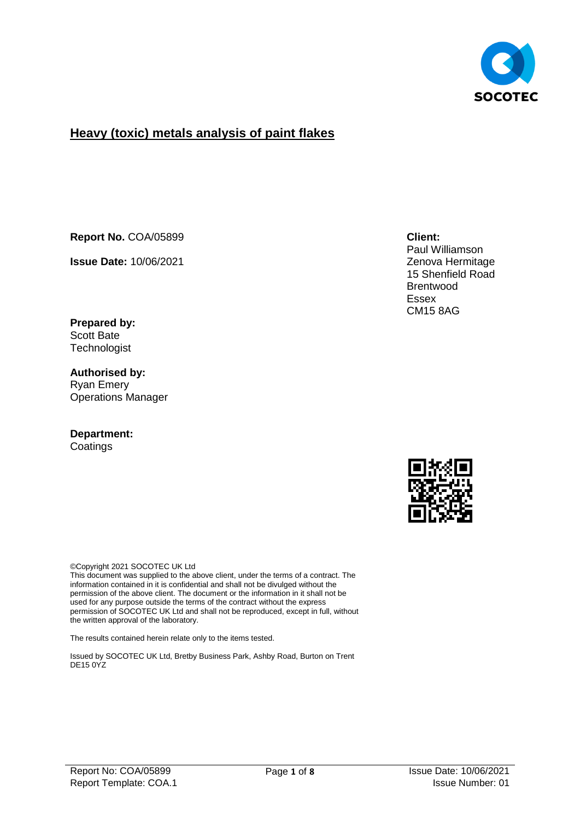

## **Heavy (toxic) metals analysis of paint flakes**

**Report No.** COA/05899

**Issue Date:** 10/06/2021

**Prepared by:**  Scott Bate **Technologist** 

**Authorised by:** Ryan Emery Operations Manager

#### **Department: Coatings**

©Copyright 2021 SOCOTEC UK Ltd

This document was supplied to the above client, under the terms of a contract. The information contained in it is confidential and shall not be divulged without the permission of the above client. The document or the information in it shall not be used for any purpose outside the terms of the contract without the express permission of SOCOTEC UK Ltd and shall not be reproduced, except in full, without the written approval of the laboratory.

The results contained herein relate only to the items tested.

Issued by SOCOTEC UK Ltd, Bretby Business Park, Ashby Road, Burton on Trent DE15 0YZ

#### **Client:**

Paul Williamson Zenova Hermitage 15 Shenfield Road Brentwood Essex CM15 8AG

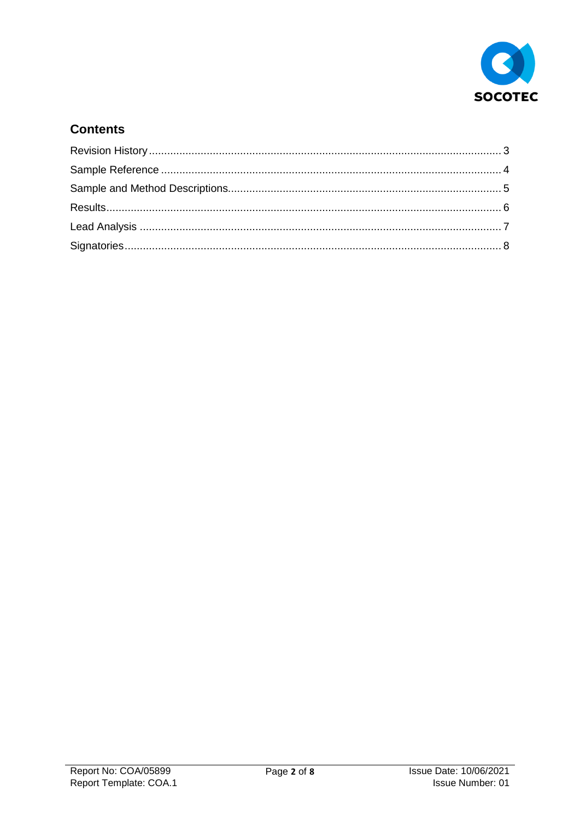

## **Contents**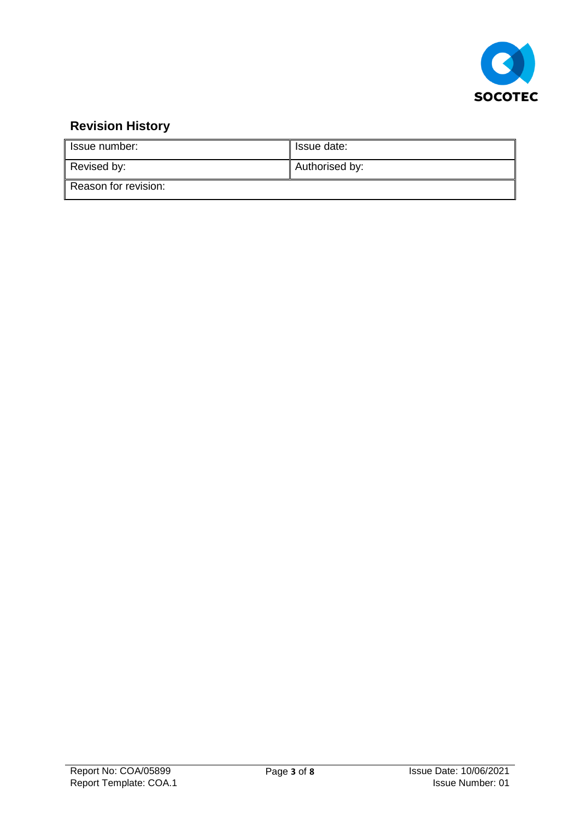

# <span id="page-2-0"></span>**Revision History**

| Issue number:        | Issue date:    |
|----------------------|----------------|
| Revised by:          | Authorised by: |
| Reason for revision: |                |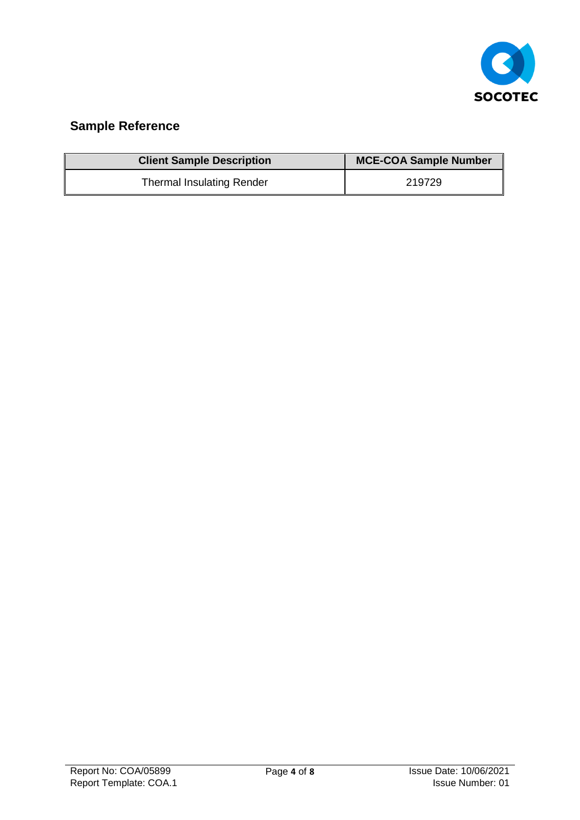

# <span id="page-3-0"></span>**Sample Reference**

| <b>Client Sample Description</b> | <b>MCE-COA Sample Number</b> |
|----------------------------------|------------------------------|
| <b>Thermal Insulating Render</b> | 219729                       |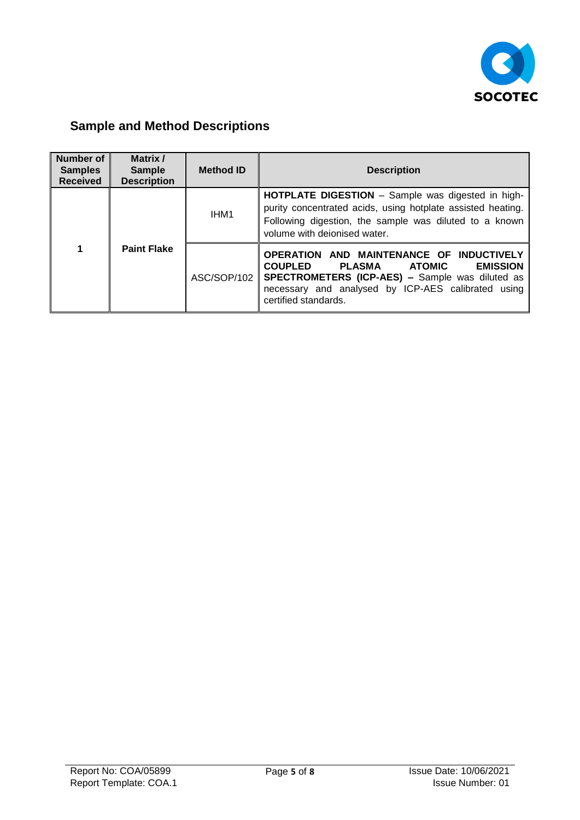

# <span id="page-4-0"></span>**Sample and Method Descriptions**

| <b>Number of</b><br><b>Samples</b><br><b>Received</b> | Matrix /<br><b>Sample</b><br><b>Description</b> | <b>Method ID</b> | <b>Description</b>                                                                                                                                                                                                                        |  |  |
|-------------------------------------------------------|-------------------------------------------------|------------------|-------------------------------------------------------------------------------------------------------------------------------------------------------------------------------------------------------------------------------------------|--|--|
| 1                                                     | <b>Paint Flake</b>                              | IHM <sub>1</sub> | <b>HOTPLATE DIGESTION</b> – Sample was digested in high-<br>purity concentrated acids, using hotplate assisted heating.<br>Following digestion, the sample was diluted to a known<br>volume with deionised water.                         |  |  |
|                                                       |                                                 | ASC/SOP/102      | OPERATION AND MAINTENANCE OF INDUCTIVELY<br><b>COUPLED</b><br>PLASMA<br><b>EMISSION</b><br>ATOMIC<br><b>SPECTROMETERS (ICP-AES) - Sample was diluted as</b><br>necessary and analysed by ICP-AES calibrated using<br>certified standards. |  |  |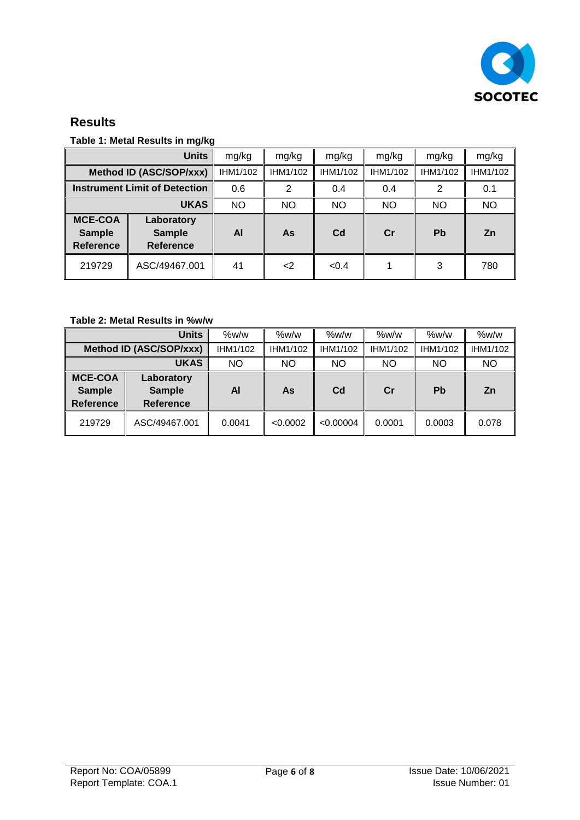

### <span id="page-5-0"></span>**Results**

#### **Table 1: Metal Results in mg/kg**

|                                                     | <b>Units</b>                                    | mg/kg     | mg/kg       | mg/kg          | mg/kg     | mg/kg     | mg/kg     |
|-----------------------------------------------------|-------------------------------------------------|-----------|-------------|----------------|-----------|-----------|-----------|
|                                                     | Method ID (ASC/SOP/xxx)                         | IHM1/102  | IHM1/102    | IHM1/102       | IHM1/102  | IHM1/102  | IHM1/102  |
| <b>Instrument Limit of Detection</b>                |                                                 | 0.6       | 2           | 0.4            | 0.4       | 2         | 0.1       |
|                                                     | <b>UKAS</b>                                     | <b>NO</b> | NO.         | <b>NO</b>      | <b>NO</b> | <b>NO</b> | <b>NO</b> |
| <b>MCE-COA</b><br><b>Sample</b><br><b>Reference</b> | Laboratory<br><b>Sample</b><br><b>Reference</b> | AI        | As          | C <sub>d</sub> | Cr        | <b>Pb</b> | <b>Zn</b> |
| 219729                                              | ASC/49467.001                                   | 41        | $\langle$ 2 | <0.4           |           | 3         | 780       |

#### **Table 2: Metal Results in %w/w**

|                                                     | Units                                           | $\%$ w/w | $\%$ w/w | %w/w           | $\%$ w/w | $\%$ w/w  | %w/w      |
|-----------------------------------------------------|-------------------------------------------------|----------|----------|----------------|----------|-----------|-----------|
| Method ID (ASC/SOP/xxx)                             |                                                 | IHM1/102 | IHM1/102 | IHM1/102       | IHM1/102 | IHM1/102  | IHM1/102  |
|                                                     | <b>UKAS</b>                                     | NO       | NO       | NO.            | NO.      | <b>NO</b> | <b>NO</b> |
| <b>MCE-COA</b><br><b>Sample</b><br><b>Reference</b> | Laboratory<br><b>Sample</b><br><b>Reference</b> | Al       | As       | C <sub>d</sub> | Cr       | Pb        | <b>Zn</b> |
| 219729                                              | ASC/49467.001                                   | 0.0041   | < 0.0002 | < 0.00004      | 0.0001   | 0.0003    | 0.078     |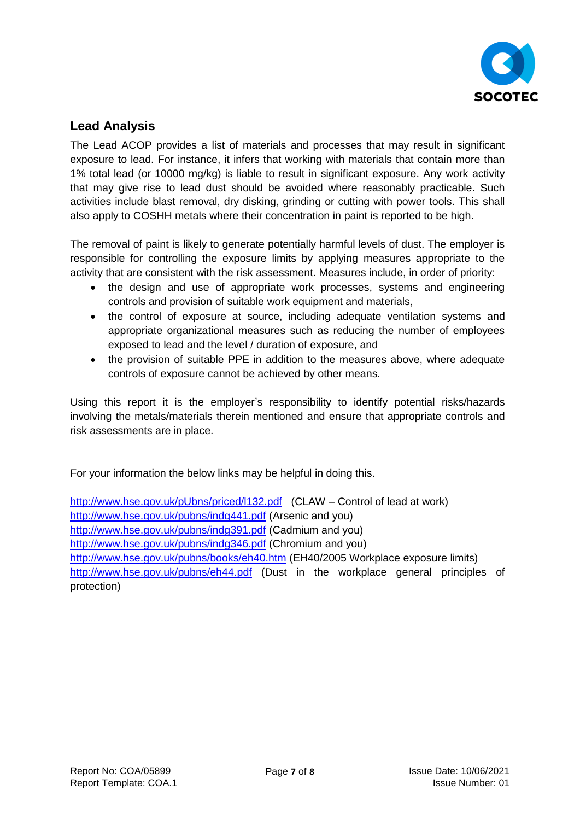

## <span id="page-6-0"></span>**Lead Analysis**

The Lead ACOP provides a list of materials and processes that may result in significant exposure to lead. For instance, it infers that working with materials that contain more than 1% total lead (or 10000 mg/kg) is liable to result in significant exposure. Any work activity that may give rise to lead dust should be avoided where reasonably practicable. Such activities include blast removal, dry disking, grinding or cutting with power tools. This shall also apply to COSHH metals where their concentration in paint is reported to be high.

The removal of paint is likely to generate potentially harmful levels of dust. The employer is responsible for controlling the exposure limits by applying measures appropriate to the activity that are consistent with the risk assessment. Measures include, in order of priority:

- the design and use of appropriate work processes, systems and engineering controls and provision of suitable work equipment and materials,
- the control of exposure at source, including adequate ventilation systems and appropriate organizational measures such as reducing the number of employees exposed to lead and the level / duration of exposure, and
- the provision of suitable PPE in addition to the measures above, where adequate controls of exposure cannot be achieved by other means.

Using this report it is the employer's responsibility to identify potential risks/hazards involving the metals/materials therein mentioned and ensure that appropriate controls and risk assessments are in place.

For your information the below links may be helpful in doing this.

<http://www.hse.gov.uk/pUbns/priced/l132.pdf> (CLAW – Control of lead at work) <http://www.hse.gov.uk/pubns/indg441.pdf> (Arsenic and you) <http://www.hse.gov.uk/pubns/indg391.pdf> (Cadmium and you) <http://www.hse.gov.uk/pubns/indg346.pdf> (Chromium and you) <http://www.hse.gov.uk/pubns/books/eh40.htm> (EH40/2005 Workplace exposure limits) <http://www.hse.gov.uk/pubns/eh44.pdf> (Dust in the workplace general principles of protection)